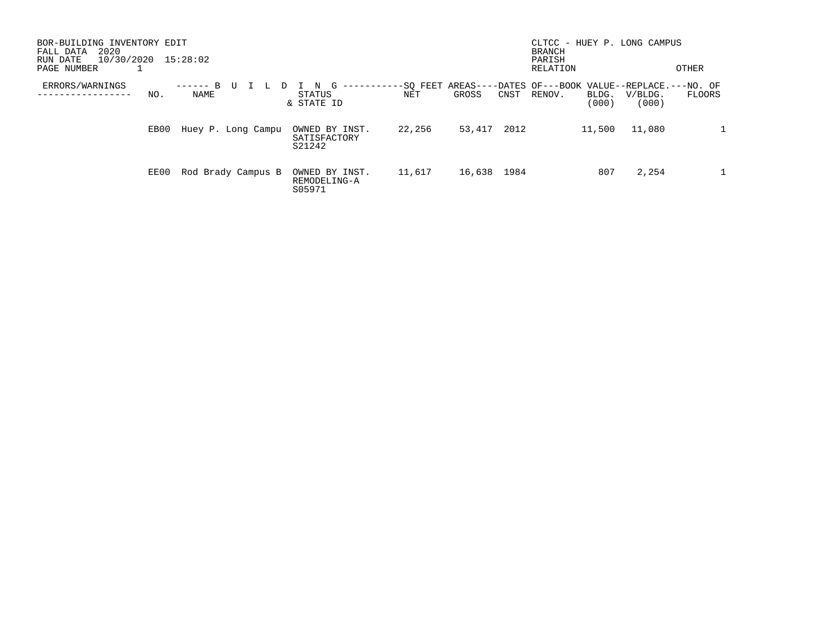| BOR-BUILDING INVENTORY EDIT<br>2020<br>FALL DATA<br>10/30/2020<br>RUN DATE<br>PAGE NUMBER | 15:28:02           |                                          |                 |                             | CLTCC - HUEY P. LONG CAMPUS<br><b>BRANCH</b><br>PARISH<br>RELATION | OTHER                                                                    |
|-------------------------------------------------------------------------------------------|--------------------|------------------------------------------|-----------------|-----------------------------|--------------------------------------------------------------------|--------------------------------------------------------------------------|
| ERRORS/WARNINGS<br>NO.                                                                    | B<br>NAME          | G<br>-------<br>STATUS<br>& STATE ID     | -SO FEET<br>NET | $AREAS---$<br>GROSS<br>CNST | RENOV.<br>BLDG.<br>(000)                                           | --DATES OF---BOOK VALUE--REPLACE.---NO. OF<br>V/BLDG.<br>FLOORS<br>(000) |
| EB00                                                                                      | Huey P. Long Campu | OWNED BY INST.<br>SATISFACTORY<br>S21242 | 22,256          | 53,417<br>2012              | 11,500                                                             | 11,080                                                                   |
| EE00                                                                                      | Rod Brady Campus B | OWNED BY INST.<br>REMODELING-A<br>S05971 | 11,617          | 16,638<br>1984              | 807                                                                | 2,254                                                                    |